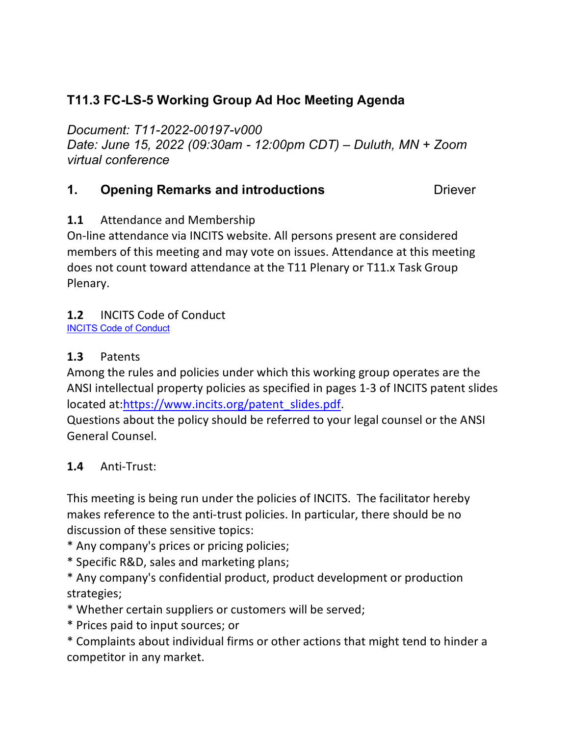# **T11.3 FC-LS-5 Working Group Ad Hoc Meeting Agenda**

*Document: T11-2022-00197-v000*

*Date: June 15, 2022 (09:30am - 12:00pm CDT) – Duluth, MN + Zoom virtual conference*

## **1. Opening Remarks and introductions Diever Designal**

## **1.1** Attendance and Membership

On-line attendance via INCITS website. All persons present are considered members of this meeting and may vote on issues. Attendance at this meeting does not count toward attendance at the T11 Plenary or T11.x Task Group Plenary.

## **1.2** INCITS Code of Conduct

[INCITS Code of Conduct](https://standards.incits.org/apps/group_public/download.php/127632/eb-2021-00111-INCITS%20Code%20of%20Conduct.pdf)

## **1.3** Patents

Among the rules and policies under which this working group operates are the ANSI intellectual property policies as specified in pages 1-3 of INCITS patent slides located at[:https://www.incits.org/patent\\_slides.pdf.](https://www.incits.org/dotAsset/63b6e457-53b9-4933-9835-7c74e77ca2fd.pdf)

Questions about the policy should be referred to your legal counsel or the ANSI General Counsel.

# **1.4** Anti-Trust:

This meeting is being run under the policies of INCITS. The facilitator hereby makes reference to the anti-trust policies. In particular, there should be no discussion of these sensitive topics:

- \* Any company's prices or pricing policies;
- \* Specific R&D, sales and marketing plans;
- \* Any company's confidential product, product development or production strategies;
- \* Whether certain suppliers or customers will be served;
- \* Prices paid to input sources; or
- \* Complaints about individual firms or other actions that might tend to hinder a competitor in any market.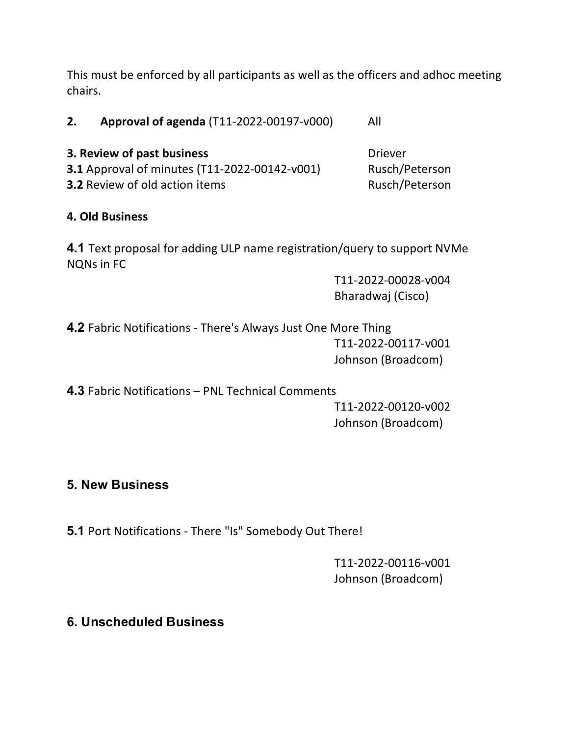This must be enforced by all participants as well as the officers and adhoc meeting chairs.

**2. Approval of agenda** (T11-2022-00197-v000) All

**3. Review of past business** Diever **3.1** Approval of minutes (T11-2022-00142-v001) Rusch/Peterson **3.2** Review of old action items Rusch/Peterson

# **4. Old Business**

**4.1** Text proposal for adding ULP name registration/query to support NVMe NQNs in FC

> T11-2022-00028-v004 Bharadwaj (Cisco)

**4.2** Fabric Notifications - There's Always Just One More Thing T11-2022-00117-v001 Johnson (Broadcom)

**4.3** Fabric Notifications – PNL Technical Comments

T11-2022-00120-v002 Johnson (Broadcom)

# **5. New Business**

**5.1** Port Notifications - There "Is" Somebody Out There!

T11-2022-00116-v001 Johnson (Broadcom)

# **6. Unscheduled Business**